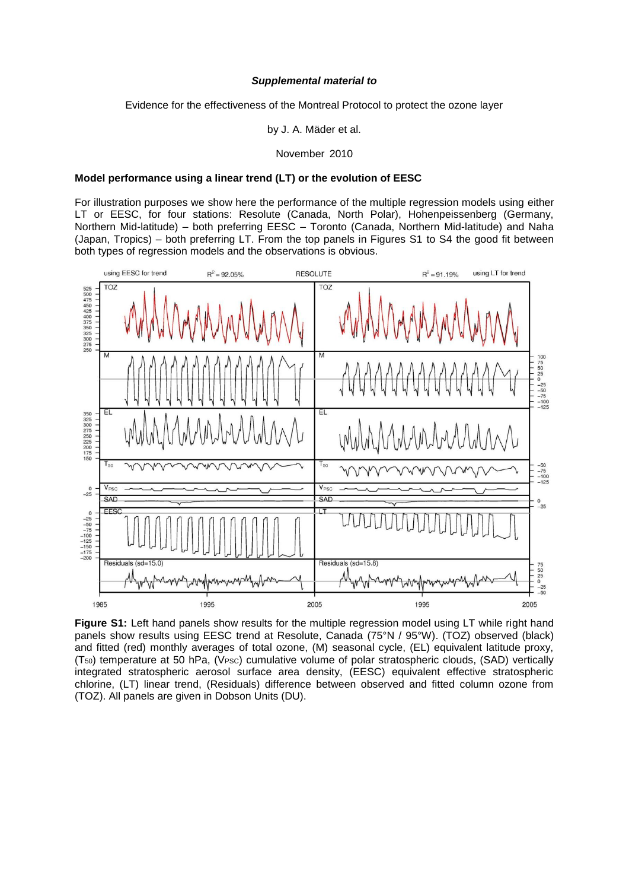## *Supplemental material to*

Evidence for the effectiveness of the Montreal Protocol to protect the ozone layer

by J. A. Mäder et al.

November 2010

## **Model performance using a linear trend (LT) or the evolution of EESC**

For illustration purposes we show here the performance of the multiple regression models using either LT or EESC, for four stations: Resolute (Canada, North Polar), Hohenpeissenberg (Germany, Northern Mid-latitude) – both preferring EESC – Toronto (Canada, Northern Mid-latitude) and Naha (Japan, Tropics) – both preferring LT. From the top panels in Figures S1 to S4 the good fit between both types of regression models and the observations is obvious.



**Figure S1:** Left hand panels show results for the multiple regression model using LT while right hand panels show results using EESC trend at Resolute, Canada (75°N / 95°W). (TOZ) observed (black) and fitted (red) monthly averages of total ozone, (M) seasonal cycle, (EL) equivalent latitude proxy, (T50) temperature at 50 hPa, (VPSC) cumulative volume of polar stratospheric clouds, (SAD) vertically integrated stratospheric aerosol surface area density, (EESC) equivalent effective stratospheric chlorine, (LT) linear trend, (Residuals) difference between observed and fitted column ozone from (TOZ). All panels are given in Dobson Units (DU).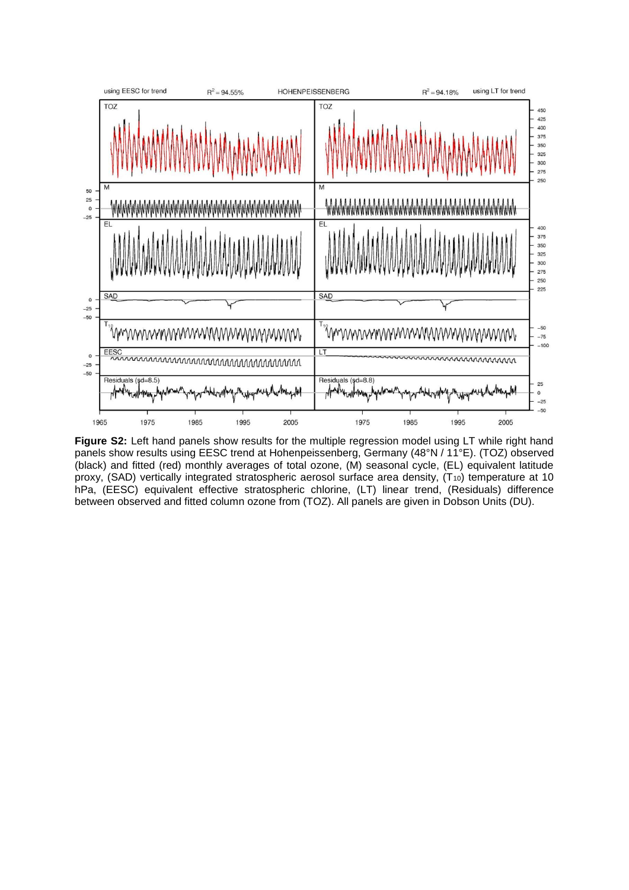

**Figure S2:** Left hand panels show results for the multiple regression model using LT while right hand panels show results using EESC trend at Hohenpeissenberg, Germany (48°N / 11°E). (TOZ) observed (black) and fitted (red) monthly averages of total ozone, (M) seasonal cycle, (EL) equivalent latitude proxy, (SAD) vertically integrated stratospheric aerosol surface area density, (T<sub>10</sub>) temperature at 10 hPa, (EESC) equivalent effective stratospheric chlorine, (LT) linear trend, (Residuals) difference between observed and fitted column ozone from (TOZ). All panels are given in Dobson Units (DU).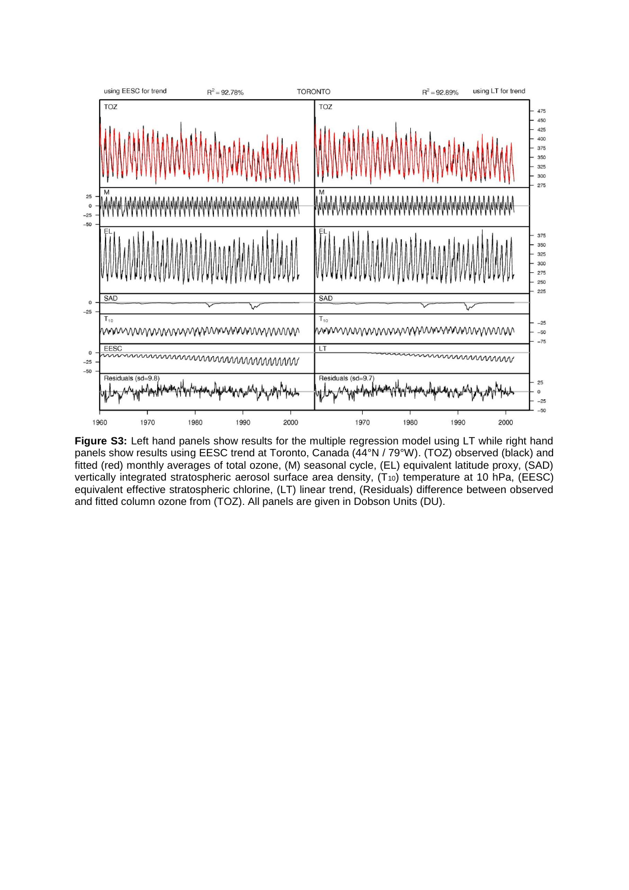

**Figure S3:** Left hand panels show results for the multiple regression model using LT while right hand panels show results using EESC trend at Toronto, Canada (44°N / 79°W). (TOZ) observed (black) and fitted (red) monthly averages of total ozone, (M) seasonal cycle, (EL) equivalent latitude proxy, (SAD) vertically integrated stratospheric aerosol surface area density, (T<sub>10</sub>) temperature at 10 hPa, (EESC) equivalent effective stratospheric chlorine, (LT) linear trend, (Residuals) difference between observed and fitted column ozone from (TOZ). All panels are given in Dobson Units (DU).